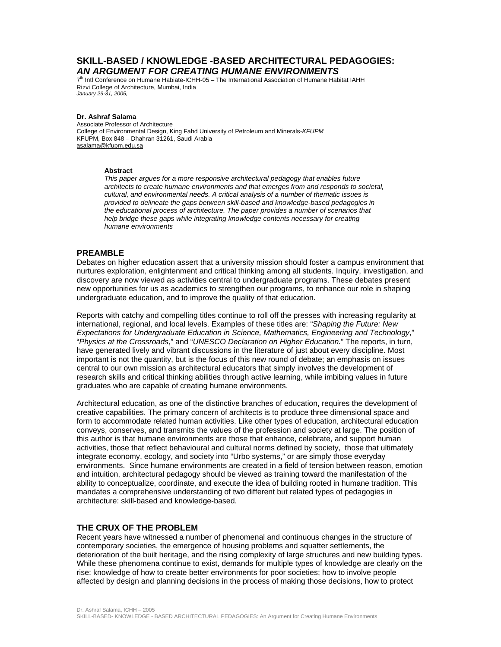# **SKILL-BASED / KNOWLEDGE -BASED ARCHITECTURAL PEDAGOGIES:**  *AN ARGUMENT FOR CREATING HUMANE ENVIRONMENTS*

7<sup>th</sup> Intl Conference on Humane Habiate-ICHH-05 - The International Association of Humane Habitat IAHH Rizvi College of Architecture, Mumbai, India *January 29-31, 2005,* 

### **Dr. Ashraf Salama**

Associate Professor of Architecture College of Environmental Design, King Fahd University of Petroleum and Minerals-*KFUPM* KFUPM, Box 848 – Dhahran 31261, Saudi Arabia asalama@kfupm.edu.sa

### **Abstract**

*This paper argues for a more responsive architectural pedagogy that enables future architects to create humane environments and that emerges from and responds to societal, cultural, and environmental needs. A critical analysis of a number of thematic issues is provided to delineate the gaps between skill-based and knowledge-based pedagogies in the educational process of architecture. The paper provides a number of scenarios that help bridge these gaps while integrating knowledge contents necessary for creating humane environments* 

## **PREAMBLE**

Debates on higher education assert that a university mission should foster a campus environment that nurtures exploration, enlightenment and critical thinking among all students. Inquiry, investigation, and discovery are now viewed as activities central to undergraduate programs. These debates present new opportunities for us as academics to strengthen our programs, to enhance our role in shaping undergraduate education, and to improve the quality of that education.

Reports with catchy and compelling titles continue to roll off the presses with increasing regularity at international, regional, and local levels. Examples of these titles are: "*Shaping the Future: New Expectations for Undergraduate Education in Science, Mathematics, Engineering and Technology*," "*Physics at the Crossroads*," and "*UNESCO Declaration on Higher Education.*" The reports, in turn, have generated lively and vibrant discussions in the literature of just about every discipline. Most important is not the quantity, but is the focus of this new round of debate; an emphasis on issues central to our own mission as architectural educators that simply involves the development of research skills and critical thinking abilities through active learning, while imbibing values in future graduates who are capable of creating humane environments.

Architectural education, as one of the distinctive branches of education, requires the development of creative capabilities. The primary concern of architects is to produce three dimensional space and form to accommodate related human activities. Like other types of education, architectural education conveys, conserves, and transmits the values of the profession and society at large. The position of this author is that humane environments are those that enhance, celebrate, and support human activities, those that reflect behavioural and cultural norms defined by society, those that ultimately integrate economy, ecology, and society into "Urbo systems," or are simply those everyday environments. Since humane environments are created in a field of tension between reason, emotion and intuition, architectural pedagogy should be viewed as training toward the manifestation of the ability to conceptualize, coordinate, and execute the idea of building rooted in humane tradition. This mandates a comprehensive understanding of two different but related types of pedagogies in architecture: skill-based and knowledge-based.

# **THE CRUX OF THE PROBLEM**

Recent years have witnessed a number of phenomenal and continuous changes in the structure of contemporary societies, the emergence of housing problems and squatter settlements, the deterioration of the built heritage, and the rising complexity of large structures and new building types. While these phenomena continue to exist, demands for multiple types of knowledge are clearly on the rise: knowledge of how to create better environments for poor societies; how to involve people affected by design and planning decisions in the process of making those decisions, how to protect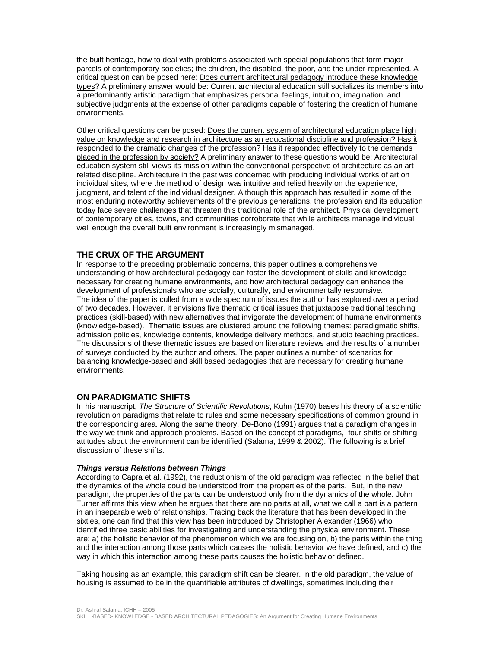the built heritage, how to deal with problems associated with special populations that form major parcels of contemporary societies; the children, the disabled, the poor, and the under-represented. A critical question can be posed here: Does current architectural pedagogy introduce these knowledge types? A preliminary answer would be: Current architectural education still socializes its members into a predominantly artistic paradigm that emphasizes personal feelings, intuition, imagination, and subjective judgments at the expense of other paradigms capable of fostering the creation of humane environments.

Other critical questions can be posed: Does the current system of architectural education place high value on knowledge and research in architecture as an educational discipline and profession? Has it responded to the dramatic changes of the profession? Has it responded effectively to the demands placed in the profession by society? A preliminary answer to these questions would be: Architectural education system still views its mission within the conventional perspective of architecture as an art related discipline. Architecture in the past was concerned with producing individual works of art on individual sites, where the method of design was intuitive and relied heavily on the experience, judgment, and talent of the individual designer. Although this approach has resulted in some of the most enduring noteworthy achievements of the previous generations, the profession and its education today face severe challenges that threaten this traditional role of the architect. Physical development of contemporary cities, towns, and communities corroborate that while architects manage individual well enough the overall built environment is increasingly mismanaged.

## **THE CRUX OF THE ARGUMENT**

In response to the preceding problematic concerns, this paper outlines a comprehensive understanding of how architectural pedagogy can foster the development of skills and knowledge necessary for creating humane environments, and how architectural pedagogy can enhance the development of professionals who are socially, culturally, and environmentally responsive. The idea of the paper is culled from a wide spectrum of issues the author has explored over a period of two decades. However, it envisions five thematic critical issues that juxtapose traditional teaching practices (skill-based) with new alternatives that invigorate the development of humane environments (knowledge-based). Thematic issues are clustered around the following themes: paradigmatic shifts, admission policies, knowledge contents, knowledge delivery methods, and studio teaching practices. The discussions of these thematic issues are based on literature reviews and the results of a number of surveys conducted by the author and others. The paper outlines a number of scenarios for balancing knowledge-based and skill based pedagogies that are necessary for creating humane environments.

### **ON PARADIGMATIC SHIFTS**

In his manuscript, *The Structure of Scientific Revolutions*, Kuhn (1970) bases his theory of a scientific revolution on paradigms that relate to rules and some necessary specifications of common ground in the corresponding area. Along the same theory, De-Bono (1991) argues that a paradigm changes in the way we think and approach problems. Based on the concept of paradigms, four shifts or shifting attitudes about the environment can be identified (Salama, 1999 & 2002). The following is a brief discussion of these shifts.

#### *Things versus Relations between Things*

According to Capra et al. (1992), the reductionism of the old paradigm was reflected in the belief that the dynamics of the whole could be understood from the properties of the parts. But, in the new paradigm, the properties of the parts can be understood only from the dynamics of the whole. John Turner affirms this view when he argues that there are no parts at all, what we call a part is a pattern in an inseparable web of relationships. Tracing back the literature that has been developed in the sixties, one can find that this view has been introduced by Christopher Alexander (1966) who identified three basic abilities for investigating and understanding the physical environment. These are: a) the holistic behavior of the phenomenon which we are focusing on, b) the parts within the thing and the interaction among those parts which causes the holistic behavior we have defined, and c) the way in which this interaction among these parts causes the holistic behavior defined.

Taking housing as an example, this paradigm shift can be clearer. In the old paradigm, the value of housing is assumed to be in the quantifiable attributes of dwellings, sometimes including their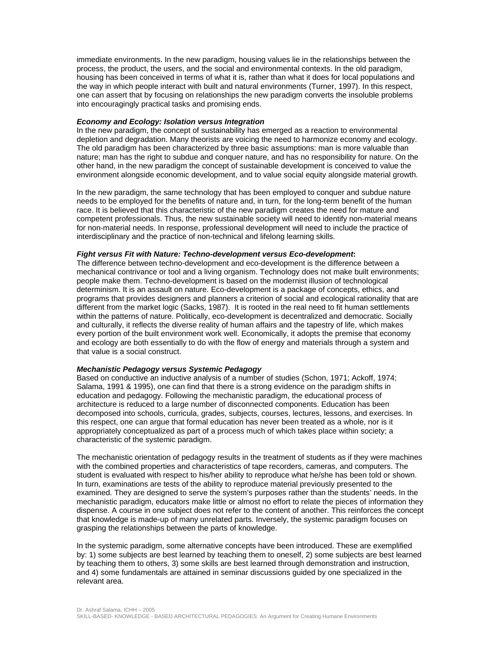immediate environments. In the new paradigm, housing values lie in the relationships between the process, the product, the users, and the social and environmental contexts. In the old paradigm, housing has been conceived in terms of what it is, rather than what it does for local populations and the way in which people interact with built and natural environments (Turner, 1997). In this respect, one can assert that by focusing on relationships the new paradigm converts the insoluble problems into encouragingly practical tasks and promising ends.

### *Economy and Ecology: Isolation versus Integration*

In the new paradigm, the concept of sustainability has emerged as a reaction to environmental depletion and degradation. Many theorists are voicing the need to harmonize economy and ecology. The old paradigm has been characterized by three basic assumptions: man is more valuable than nature; man has the right to subdue and conquer nature, and has no responsibility for nature. On the other hand, in the new paradigm the concept of sustainable development is conceived to value the environment alongside economic development, and to value social equity alongside material growth.

In the new paradigm, the same technology that has been employed to conquer and subdue nature needs to be employed for the benefits of nature and, in turn, for the long-term benefit of the human race. It is believed that this characteristic of the new paradigm creates the need for mature and competent professionals. Thus, the new sustainable society will need to identify non-material means for non-material needs. In response, professional development will need to include the practice of interdisciplinary and the practice of non-technical and lifelong learning skills.

### *Fight versus Fit with Nature: Techno-development versus Eco-development***:**

The difference between techno-development and eco-development is the difference between a mechanical contrivance or tool and a living organism. Technology does not make built environments; people make them. Techno-development is based on the modernist illusion of technological determinism. It is an assault on nature. Eco-development is a package of concepts, ethics, and programs that provides designers and planners a criterion of social and ecological rationality that are different from the market logic (Sacks, 1987). It is rooted in the real need to fit human settlements within the patterns of nature. Politically, eco-development is decentralized and democratic. Socially and culturally, it reflects the diverse reality of human affairs and the tapestry of life, which makes every portion of the built environment work well. Economically, it adopts the premise that economy and ecology are both essentially to do with the flow of energy and materials through a system and that value is a social construct.

## *Mechanistic Pedagogy versus Systemic Pedagogy*

Based on conductive an inductive analysis of a number of studies (Schon, 1971; Ackoff, 1974; Salama, 1991 & 1995), one can find that there is a strong evidence on the paradigm shifts in education and pedagogy. Following the mechanistic paradigm, the educational process of architecture is reduced to a large number of disconnected components. Education has been decomposed into schools, curricula, grades, subjects, courses, lectures, lessons, and exercises. In this respect, one can argue that formal education has never been treated as a whole, nor is it appropriately conceptualized as part of a process much of which takes place within society; a characteristic of the systemic paradigm.

The mechanistic orientation of pedagogy results in the treatment of students as if they were machines with the combined properties and characteristics of tape recorders, cameras, and computers. The student is evaluated with respect to his/her ability to reproduce what he/she has been told or shown. In turn, examinations are tests of the ability to reproduce material previously presented to the examined. They are designed to serve the system's purposes rather than the students' needs. In the mechanistic paradigm, educators make little or almost no effort to relate the pieces of information they dispense. A course in one subject does not refer to the content of another. This reinforces the concept that knowledge is made-up of many unrelated parts. Inversely, the systemic paradigm focuses on grasping the relationships between the parts of knowledge.

In the systemic paradigm, some alternative concepts have been introduced. These are exemplified by: 1) some subjects are best learned by teaching them to oneself, 2) some subjects are best learned by teaching them to others, 3) some skills are best learned through demonstration and instruction, and 4) some fundamentals are attained in seminar discussions guided by one specialized in the relevant area.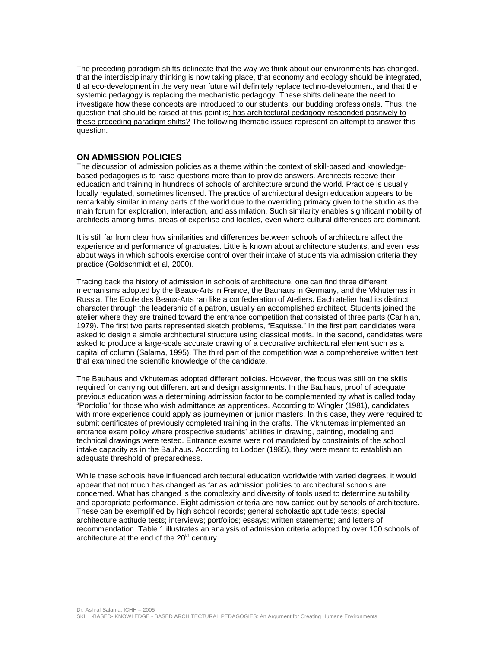The preceding paradigm shifts delineate that the way we think about our environments has changed, that the interdisciplinary thinking is now taking place, that economy and ecology should be integrated, that eco-development in the very near future will definitely replace techno-development, and that the systemic pedagogy is replacing the mechanistic pedagogy. These shifts delineate the need to investigate how these concepts are introduced to our students, our budding professionals. Thus, the question that should be raised at this point is: has architectural pedagogy responded positively to these preceding paradigm shifts? The following thematic issues represent an attempt to answer this question.

# **ON ADMISSION POLICIES**

The discussion of admission policies as a theme within the context of skill-based and knowledgebased pedagogies is to raise questions more than to provide answers. Architects receive their education and training in hundreds of schools of architecture around the world. Practice is usually locally regulated, sometimes licensed. The practice of architectural design education appears to be remarkably similar in many parts of the world due to the overriding primacy given to the studio as the main forum for exploration, interaction, and assimilation. Such similarity enables significant mobility of architects among firms, areas of expertise and locales, even where cultural differences are dominant.

It is still far from clear how similarities and differences between schools of architecture affect the experience and performance of graduates. Little is known about architecture students, and even less about ways in which schools exercise control over their intake of students via admission criteria they practice (Goldschmidt et al, 2000).

Tracing back the history of admission in schools of architecture, one can find three different mechanisms adopted by the Beaux-Arts in France, the Bauhaus in Germany, and the Vkhutemas in Russia. The Ecole des Beaux-Arts ran like a confederation of Ateliers. Each atelier had its distinct character through the leadership of a patron, usually an accomplished architect. Students joined the atelier where they are trained toward the entrance competition that consisted of three parts (Carlhian, 1979). The first two parts represented sketch problems, "Esquisse." In the first part candidates were asked to design a simple architectural structure using classical motifs. In the second, candidates were asked to produce a large-scale accurate drawing of a decorative architectural element such as a capital of column (Salama, 1995). The third part of the competition was a comprehensive written test that examined the scientific knowledge of the candidate.

The Bauhaus and Vkhutemas adopted different policies. However, the focus was still on the skills required for carrying out different art and design assignments. In the Bauhaus, proof of adequate previous education was a determining admission factor to be complemented by what is called today "Portfolio" for those who wish admittance as apprentices. According to Wingler (1981), candidates with more experience could apply as journeymen or junior masters. In this case, they were required to submit certificates of previously completed training in the crafts. The Vkhutemas implemented an entrance exam policy where prospective students' abilities in drawing, painting, modeling and technical drawings were tested. Entrance exams were not mandated by constraints of the school intake capacity as in the Bauhaus. According to Lodder (1985), they were meant to establish an adequate threshold of preparedness.

While these schools have influenced architectural education worldwide with varied degrees, it would appear that not much has changed as far as admission policies to architectural schools are concerned. What has changed is the complexity and diversity of tools used to determine suitability and appropriate performance. Eight admission criteria are now carried out by schools of architecture. These can be exemplified by high school records; general scholastic aptitude tests; special architecture aptitude tests; interviews; portfolios; essays; written statements; and letters of recommendation. Table 1 illustrates an analysis of admission criteria adopted by over 100 schools of architecture at the end of the  $20<sup>th</sup>$  century.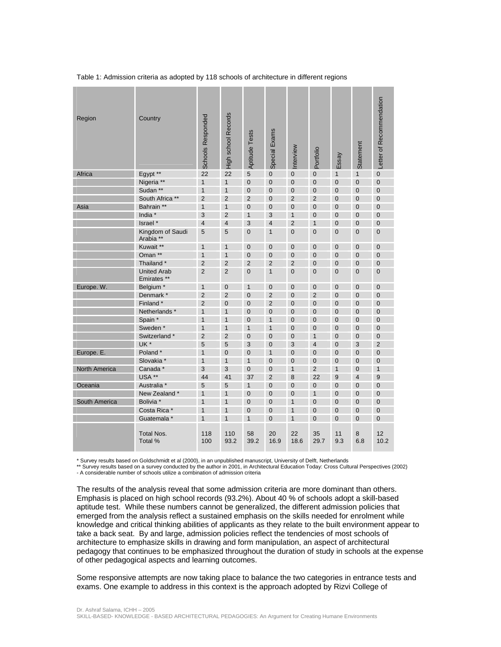Table 1: Admission criteria as adopted by 118 schools of architecture in different regions

| Region               | Country                           | <b>Schools Responded</b> | <b>High school Records</b> | Aptitude Tests | Special Exams  | Interview      | Portfolio      | Essay          | <b>Statement</b> | Letter of Recommendation |
|----------------------|-----------------------------------|--------------------------|----------------------------|----------------|----------------|----------------|----------------|----------------|------------------|--------------------------|
| Africa               | Egypt **                          | 22                       | 22                         | 5              | $\mathbf 0$    | $\mathbf 0$    | $\mathbf{0}$   | $\mathbf{1}$   | $\mathbf{1}$     | $\overline{0}$           |
|                      | Nigeria **                        | $\mathbf{1}$             | $\mathbf{1}$               | $\overline{0}$ | $\overline{0}$ | $\Omega$       | $\mathbf{0}$   | $\overline{0}$ | $\overline{0}$   | $\overline{0}$           |
|                      | Sudan **                          | $\mathbf{1}$             | $\mathbf{1}$               | $\overline{0}$ | $\overline{0}$ | $\overline{0}$ | $\mathbf{0}$   | $\overline{0}$ | $\overline{0}$   | $\mathbf{0}$             |
|                      | South Africa **                   | $\overline{2}$           | $\overline{2}$             | $\overline{2}$ | $\overline{0}$ | $\overline{2}$ | $\overline{2}$ | $\overline{0}$ | $\overline{0}$   | $\overline{0}$           |
| Asia                 | Bahrain **                        | $\mathbf{1}$             | $\mathbf{1}$               | $\overline{0}$ | $\mathbf 0$    | $\overline{0}$ | $\mathbf 0$    | $\overline{0}$ | $\overline{0}$   | $\mathbf 0$              |
|                      | India *                           | 3                        | $\overline{2}$             | $\mathbf{1}$   | 3              | 1              | $\overline{0}$ | 0              | $\overline{0}$   | $\overline{0}$           |
|                      | Israel *                          | $\overline{4}$           | $\overline{4}$             | 3              | $\overline{4}$ | $\overline{2}$ | $\mathbf{1}$   | $\overline{0}$ | $\overline{0}$   | $\overline{0}$           |
|                      | Kingdom of Saudi<br>Arabia **     | 5                        | 5                          | $\mathbf 0$    | $\mathbf{1}$   | $\overline{0}$ | $\overline{0}$ | 0              | $\overline{0}$   | $\overline{0}$           |
|                      | Kuwait **                         | $\mathbf{1}$             | $\mathbf{1}$               | $\overline{0}$ | $\mathbf 0$    | $\overline{0}$ | $\mathbf 0$    | 0              | $\mathbf 0$      | $\mathbf 0$              |
|                      | Oman **                           | $\mathbf{1}$             | $\mathbf{1}$               | $\mathbf 0$    | $\mathbf 0$    | $\mathbf 0$    | $\mathbf 0$    | 0              | $\mathbf 0$      | $\mathbf 0$              |
|                      | Thailand *                        | $\overline{2}$           | $\overline{2}$             | $\overline{2}$ | $\overline{2}$ | $\overline{2}$ | $\overline{0}$ | 0              | $\overline{0}$   | $\overline{0}$           |
|                      | <b>United Arab</b><br>Emirates ** | $\overline{2}$           | $\overline{2}$             | $\overline{0}$ | $\mathbf{1}$   | $\overline{0}$ | $\overline{0}$ | $\overline{0}$ | $\overline{0}$   | $\overline{0}$           |
| Europe. W.           | Belgium <sup>*</sup>              | $\mathbf{1}$             | $\overline{0}$             | $\mathbf{1}$   | $\overline{0}$ | $\overline{0}$ | $\mathbf 0$    | $\overline{0}$ | $\overline{0}$   | $\overline{0}$           |
|                      | Denmark *                         | $\overline{2}$           | $\overline{2}$             | $\mathbf 0$    | $\overline{2}$ | $\mathbf 0$    | $\overline{2}$ | 0              | $\mathbf 0$      | $\mathbf 0$              |
|                      | Finland *                         | $\overline{2}$           | $\overline{0}$             | $\overline{0}$ | $\overline{2}$ | $\overline{0}$ | $\overline{0}$ | 0              | $\mathbf{0}$     | $\overline{0}$           |
|                      | Netherlands *                     | $\mathbf{1}$             | $\mathbf{1}$               | $\overline{0}$ | $\overline{0}$ | $\overline{0}$ | $\mathbf{0}$   | $\overline{0}$ | $\overline{0}$   | $\overline{0}$           |
|                      | Spain *                           | $\mathbf{1}$             | $\mathbf{1}$               | $\overline{0}$ | $\mathbf{1}$   | $\overline{0}$ | $\mathbf 0$    | $\overline{0}$ | $\overline{0}$   | $\mathbf 0$              |
|                      | Sweden <sup>*</sup>               | $\mathbf{1}$             | $\mathbf{1}$               | $\overline{1}$ | $\mathbf{1}$   | $\overline{0}$ | $\overline{0}$ | $\overline{0}$ | $\overline{0}$   | $\overline{0}$           |
|                      | Switzerland *                     | $\overline{2}$           | $\overline{2}$             | $\overline{0}$ | $\mathbf 0$    | $\overline{0}$ | $\mathbf{1}$   | $\mathbf 0$    | $\overline{0}$   | $\overline{0}$           |
|                      | UK <sup>*</sup>                   | 5                        | 5                          | 3              | $\overline{0}$ | 3              | $\overline{4}$ | $\overline{0}$ | 3                | $\overline{2}$           |
| Europe. E.           | Poland*                           | $\mathbf{1}$             | $\mathbf 0$                | $\overline{0}$ | $\mathbf{1}$   | $\overline{0}$ | $\overline{0}$ | $\mathbf 0$    | $\overline{0}$   | $\overline{0}$           |
|                      | Slovakia *                        | $\mathbf{1}$             | $\mathbf{1}$               | $\mathbf{1}$   | $\mathbf 0$    | $\overline{0}$ | $\mathbf{0}$   | $\overline{0}$ | $\overline{0}$   | $\overline{0}$           |
| <b>North America</b> | Canada *                          | 3                        | 3                          | $\overline{0}$ | $\overline{0}$ | $\overline{1}$ | $\overline{2}$ | $\mathbf{1}$   | $\overline{0}$   | $\mathbf{1}$             |
|                      | USA **                            | 44                       | 41                         | 37             | $\overline{2}$ | 8              | 22             | 9              | $\overline{4}$   | 9                        |
| Oceania              | Australia *                       | 5                        | 5                          | $\mathbf{1}$   | $\overline{0}$ | $\overline{0}$ | $\mathbf{0}$   | 0              | $\mathbf{0}$     | $\overline{0}$           |
|                      | New Zealand *                     | $\mathbf{1}$             | $\mathbf{1}$               | $\overline{0}$ | $\overline{0}$ | $\overline{0}$ | $\mathbf{1}$   | $\overline{0}$ | $\overline{0}$   | $\overline{0}$           |
| South America        | Bolivia *                         | $\mathbf{1}$             | $\mathbf{1}$               | $\overline{0}$ | $\overline{0}$ | $\overline{1}$ | $\overline{0}$ | $\overline{0}$ | $\overline{0}$   | $\overline{0}$           |
|                      | Costa Rica *                      | $\mathbf{1}$             | $\mathbf{1}$               | $\overline{0}$ | $\overline{0}$ | $\overline{1}$ | $\overline{0}$ | $\overline{0}$ | $\overline{0}$   | $\overline{0}$           |
|                      | Guatemala *                       | $\mathbf{1}$             | $\mathbf{1}$               | $\mathbf{1}$   | $\overline{0}$ | $\overline{1}$ | $\overline{0}$ | $\overline{0}$ | $\overline{0}$   | $\overline{0}$           |
|                      | <b>Total Nos.</b><br>Total %      | 118<br>100               | 110<br>93.2                | 58<br>39.2     | 20<br>16.9     | 22<br>18.6     | 35<br>29.7     | 11<br>9.3      | 8<br>6.8         | 12<br>10.2               |

\* Survey results based on Goldschmidt et al (2000), in an unpublished manuscript, University of Delft, Netherlands<br>\*\* Survey results based on a survey conducted by the author in 2001, in Architectural Education Today: Cros

The results of the analysis reveal that some admission criteria are more dominant than others. Emphasis is placed on high school records (93.2%). About 40 % of schools adopt a skill-based aptitude test. While these numbers cannot be generalized, the different admission policies that emerged from the analysis reflect a sustained emphasis on the skills needed for enrolment while knowledge and critical thinking abilities of applicants as they relate to the built environment appear to take a back seat. By and large, admission policies reflect the tendencies of most schools of architecture to emphasize skills in drawing and form manipulation, an aspect of architectural pedagogy that continues to be emphasized throughout the duration of study in schools at the expense of other pedagogical aspects and learning outcomes.

Some responsive attempts are now taking place to balance the two categories in entrance tests and exams. One example to address in this context is the approach adopted by Rizvi College of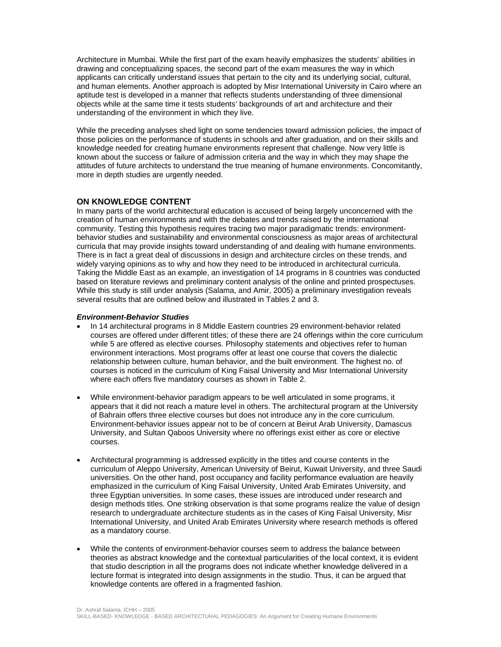Architecture in Mumbai. While the first part of the exam heavily emphasizes the students' abilities in drawing and conceptualizing spaces, the second part of the exam measures the way in which applicants can critically understand issues that pertain to the city and its underlying social, cultural, and human elements. Another approach is adopted by Misr International University in Cairo where an aptitude test is developed in a manner that reflects students understanding of three dimensional objects while at the same time it tests students' backgrounds of art and architecture and their understanding of the environment in which they live.

While the preceding analyses shed light on some tendencies toward admission policies, the impact of those policies on the performance of students in schools and after graduation, and on their skills and knowledge needed for creating humane environments represent that challenge. Now very little is known about the success or failure of admission criteria and the way in which they may shape the attitudes of future architects to understand the true meaning of humane environments. Concomitantly, more in depth studies are urgently needed.

# **ON KNOWLEDGE CONTENT**

In many parts of the world architectural education is accused of being largely unconcerned with the creation of human environments and with the debates and trends raised by the international community. Testing this hypothesis requires tracing two major paradigmatic trends: environmentbehavior studies and sustainability and environmental consciousness as major areas of architectural curricula that may provide insights toward understanding of and dealing with humane environments. There is in fact a great deal of discussions in design and architecture circles on these trends, and widely varying opinions as to why and how they need to be introduced in architectural curricula. Taking the Middle East as an example, an investigation of 14 programs in 8 countries was conducted based on literature reviews and preliminary content analysis of the online and printed prospectuses. While this study is still under analysis (Salama, and Amir, 2005) a preliminary investigation reveals several results that are outlined below and illustrated in Tables 2 and 3.

## *Environment-Behavior Studies*

- In 14 architectural programs in 8 Middle Eastern countries 29 environment-behavior related courses are offered under different titles; of these there are 24 offerings within the core curriculum while 5 are offered as elective courses. Philosophy statements and objectives refer to human environment interactions. Most programs offer at least one course that covers the dialectic relationship between culture, human behavior, and the built environment. The highest no. of courses is noticed in the curriculum of King Faisal University and Misr International University where each offers five mandatory courses as shown in Table 2.
- While environment-behavior paradigm appears to be well articulated in some programs, it appears that it did not reach a mature level in others. The architectural program at the University of Bahrain offers three elective courses but does not introduce any in the core curriculum. Environment-behavior issues appear not to be of concern at Beirut Arab University, Damascus University, and Sultan Qaboos University where no offerings exist either as core or elective courses.
- Architectural programming is addressed explicitly in the titles and course contents in the curriculum of Aleppo University, American University of Beirut, Kuwait University, and three Saudi universities. On the other hand, post occupancy and facility performance evaluation are heavily emphasized in the curriculum of King Faisal University, United Arab Emirates University, and three Egyptian universities. In some cases, these issues are introduced under research and design methods titles. One striking observation is that some programs realize the value of design research to undergraduate architecture students as in the cases of King Faisal University, Misr International University, and United Arab Emirates University where research methods is offered as a mandatory course.
- While the contents of environment-behavior courses seem to address the balance between theories as abstract knowledge and the contextual particularities of the local context, it is evident that studio description in all the programs does not indicate whether knowledge delivered in a lecture format is integrated into design assignments in the studio. Thus, it can be argued that knowledge contents are offered in a fragmented fashion.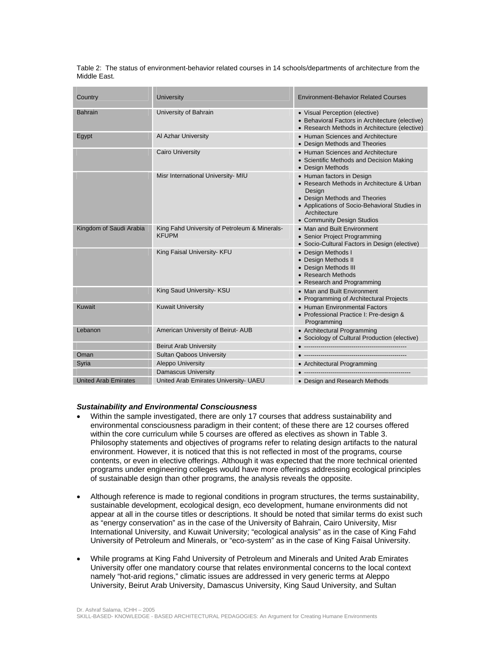Table 2: The status of environment-behavior related courses in 14 schools/departments of architecture from the Middle East.

| Country                     | <b>University</b>                                             | <b>Environment-Behavior Related Courses</b>                                                                                                                                                                       |
|-----------------------------|---------------------------------------------------------------|-------------------------------------------------------------------------------------------------------------------------------------------------------------------------------------------------------------------|
| <b>Bahrain</b>              | University of Bahrain                                         | • Visual Perception (elective)<br>• Behavioral Factors in Architecture (elective)<br>• Research Methods in Architecture (elective)                                                                                |
| Egypt                       | Al Azhar University                                           | • Human Sciences and Architecture<br>• Design Methods and Theories                                                                                                                                                |
|                             | <b>Cairo University</b>                                       | • Human Sciences and Architecture<br>• Scientific Methods and Decision Making<br>• Design Methods                                                                                                                 |
|                             | Misr International University- MIU                            | • Human factors in Design<br>• Research Methods in Architecture & Urban<br>Design<br>• Design Methods and Theories<br>• Applications of Socio-Behavioral Studies in<br>Architecture<br>• Community Design Studios |
| Kingdom of Saudi Arabia     | King Fahd University of Petroleum & Minerals-<br><b>KFUPM</b> | • Man and Built Environment<br>• Senior Project Programming<br>• Socio-Cultural Factors in Design (elective)                                                                                                      |
|                             | King Faisal University- KFU                                   | • Design Methods I<br>• Design Methods II<br>• Design Methods III<br>• Research Methods<br>• Research and Programming                                                                                             |
|                             | King Saud University- KSU                                     | • Man and Built Environment<br>• Programming of Architectural Projects                                                                                                                                            |
| Kuwait                      | <b>Kuwait University</b>                                      | • Human Environmental Factors<br>• Professional Practice I: Pre-design &<br>Programming                                                                                                                           |
| Lebanon                     | American University of Beirut- AUB                            | • Architectural Programming<br>• Sociology of Cultural Production (elective)                                                                                                                                      |
|                             | <b>Beirut Arab University</b>                                 |                                                                                                                                                                                                                   |
| Oman                        | <b>Sultan Qaboos University</b>                               |                                                                                                                                                                                                                   |
| Syria                       | <b>Aleppo University</b>                                      | • Architectural Programming                                                                                                                                                                                       |
|                             | <b>Damascus University</b>                                    |                                                                                                                                                                                                                   |
| <b>United Arab Emirates</b> | United Arab Emirates University- UAEU                         | • Design and Research Methods                                                                                                                                                                                     |

#### *Sustainability and Environmental Consciousness*

- Within the sample investigated, there are only 17 courses that address sustainability and environmental consciousness paradigm in their content; of these there are 12 courses offered within the core curriculum while 5 courses are offered as electives as shown in Table 3. Philosophy statements and objectives of programs refer to relating design artifacts to the natural environment. However, it is noticed that this is not reflected in most of the programs, course contents, or even in elective offerings. Although it was expected that the more technical oriented programs under engineering colleges would have more offerings addressing ecological principles of sustainable design than other programs, the analysis reveals the opposite.
- Although reference is made to regional conditions in program structures, the terms sustainability, sustainable development, ecological design, eco development, humane environments did not appear at all in the course titles or descriptions. It should be noted that similar terms do exist such as "energy conservation" as in the case of the University of Bahrain, Cairo University, Misr International University, and Kuwait University; "ecological analysis" as in the case of King Fahd University of Petroleum and Minerals, or "eco-system" as in the case of King Faisal University.
- While programs at King Fahd University of Petroleum and Minerals and United Arab Emirates University offer one mandatory course that relates environmental concerns to the local context namely "hot-arid regions," climatic issues are addressed in very generic terms at Aleppo University, Beirut Arab University, Damascus University, King Saud University, and Sultan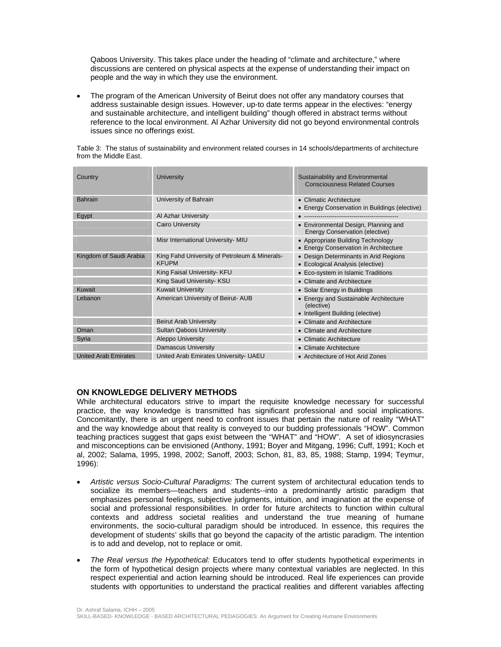Qaboos University. This takes place under the heading of "climate and architecture," where discussions are centered on physical aspects at the expense of understanding their impact on people and the way in which they use the environment.

• The program of the American University of Beirut does not offer any mandatory courses that address sustainable design issues. However, up-to date terms appear in the electives: "energy and sustainable architecture, and intelligent building" though offered in abstract terms without reference to the local environment. Al Azhar University did not go beyond environmental controls issues since no offerings exist.

Table 3: The status of sustainability and environment related courses in 14 schools/departments of architecture from the Middle East.

| Country                     | University                                                    | Sustainability and Environmental<br><b>Consciousness Related Courses</b>                 |
|-----------------------------|---------------------------------------------------------------|------------------------------------------------------------------------------------------|
| <b>Bahrain</b>              | University of Bahrain                                         | • Climatic Architecture<br>• Energy Conservation in Buildings (elective)                 |
| Egypt                       | Al Azhar University                                           | -------------------------------                                                          |
|                             | <b>Cairo University</b>                                       | • Environmental Design, Planning and<br><b>Energy Conservation (elective)</b>            |
|                             | Misr International University- MIU                            | • Appropriate Building Technology<br>• Energy Conservation in Architecture               |
| Kingdom of Saudi Arabia     | King Fahd University of Petroleum & Minerals-<br><b>KFUPM</b> | • Design Determinants in Arid Regions<br>• Ecological Analysis (elective)                |
|                             | King Faisal University- KFU                                   | • Eco-system in Islamic Traditions                                                       |
|                             | King Saud University- KSU                                     | • Climate and Architecture                                                               |
| Kuwait                      | <b>Kuwait University</b>                                      | • Solar Energy in Buildings                                                              |
| Lebanon                     | American University of Beirut-AUB                             | • Energy and Sustainable Architecture<br>(elective)<br>• Intelligent Building (elective) |
|                             | <b>Beirut Arab University</b>                                 | • Climate and Architecture                                                               |
| Oman                        | <b>Sultan Qaboos University</b>                               | • Climate and Architecture                                                               |
| Syria                       | <b>Aleppo University</b>                                      | • Climatic Architecture                                                                  |
|                             | <b>Damascus University</b>                                    | • Climate Architecture                                                                   |
| <b>United Arab Emirates</b> | United Arab Emirates University- UAEU                         | • Architecture of Hot Arid Zones                                                         |

# **ON KNOWLEDGE DELIVERY METHODS**

While architectural educators strive to impart the requisite knowledge necessary for successful practice, the way knowledge is transmitted has significant professional and social implications. Concomitantly, there is an urgent need to confront issues that pertain the nature of reality "WHAT" and the way knowledge about that reality is conveyed to our budding professionals "HOW". Common teaching practices suggest that gaps exist between the "WHAT" and "HOW". A set of idiosyncrasies and misconceptions can be envisioned (Anthony, 1991; Boyer and Mitgang, 1996; Cuff, 1991; Koch et al, 2002; Salama, 1995, 1998, 2002; Sanoff, 2003; Schon, 81, 83, 85, 1988; Stamp, 1994; Teymur, 1996):

- *Artistic versus Socio-Cultural Paradigms:* The current system of architectural education tends to socialize its members—teachers and students--into a predominantly artistic paradigm that emphasizes personal feelings, subjective judgments, intuition, and imagination at the expense of social and professional responsibilities. In order for future architects to function within cultural contexts and address societal realities and understand the true meaning of humane environments, the socio-cultural paradigm should be introduced. In essence, this requires the development of students' skills that go beyond the capacity of the artistic paradigm. The intention is to add and develop, not to replace or omit.
- *The Real versus the Hypothetical:* Educators tend to offer students hypothetical experiments in the form of hypothetical design projects where many contextual variables are neglected. In this respect experiential and action learning should be introduced. Real life experiences can provide students with opportunities to understand the practical realities and different variables affecting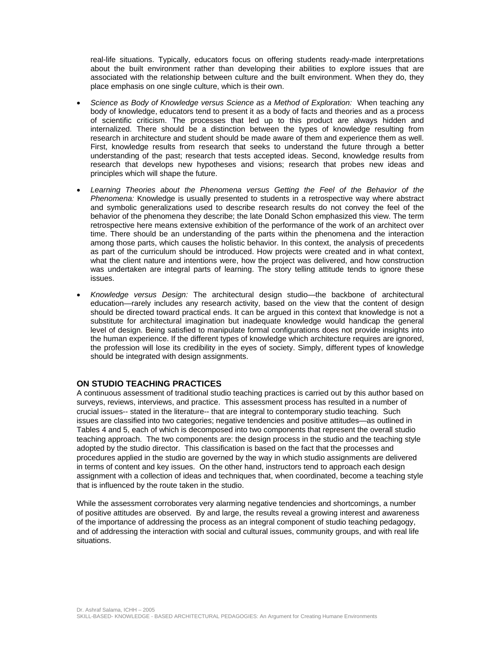real-life situations. Typically, educators focus on offering students ready-made interpretations about the built environment rather than developing their abilities to explore issues that are associated with the relationship between culture and the built environment. When they do, they place emphasis on one single culture, which is their own.

- *Science as Body of Knowledge versus Science as a Method of Exploration:* When teaching any body of knowledge, educators tend to present it as a body of facts and theories and as a process of scientific criticism. The processes that led up to this product are always hidden and internalized. There should be a distinction between the types of knowledge resulting from research in architecture and student should be made aware of them and experience them as well. First, knowledge results from research that seeks to understand the future through a better understanding of the past; research that tests accepted ideas. Second, knowledge results from research that develops new hypotheses and visions; research that probes new ideas and principles which will shape the future.
- *Learning Theories about the Phenomena versus Getting the Feel of the Behavior of the Phenomena:* Knowledge is usually presented to students in a retrospective way where abstract and symbolic generalizations used to describe research results do not convey the feel of the behavior of the phenomena they describe; the late Donald Schon emphasized this view. The term retrospective here means extensive exhibition of the performance of the work of an architect over time. There should be an understanding of the parts within the phenomena and the interaction among those parts, which causes the holistic behavior. In this context, the analysis of precedents as part of the curriculum should be introduced. How projects were created and in what context, what the client nature and intentions were, how the project was delivered, and how construction was undertaken are integral parts of learning. The story telling attitude tends to ignore these issues.
- *Knowledge versus Design:* The architectural design studio—the backbone of architectural education—rarely includes any research activity, based on the view that the content of design should be directed toward practical ends. It can be argued in this context that knowledge is not a substitute for architectural imagination but inadequate knowledge would handicap the general level of design. Being satisfied to manipulate formal configurations does not provide insights into the human experience. If the different types of knowledge which architecture requires are ignored, the profession will lose its credibility in the eyes of society. Simply, different types of knowledge should be integrated with design assignments.

## **ON STUDIO TEACHING PRACTICES**

A continuous assessment of traditional studio teaching practices is carried out by this author based on surveys, reviews, interviews, and practice. This assessment process has resulted in a number of crucial issues-- stated in the literature-- that are integral to contemporary studio teaching. Such issues are classified into two categories; negative tendencies and positive attitudes—as outlined in Tables 4 and 5, each of which is decomposed into two components that represent the overall studio teaching approach. The two components are: the design process in the studio and the teaching style adopted by the studio director. This classification is based on the fact that the processes and procedures applied in the studio are governed by the way in which studio assignments are delivered in terms of content and key issues. On the other hand, instructors tend to approach each design assignment with a collection of ideas and techniques that, when coordinated, become a teaching style that is influenced by the route taken in the studio.

While the assessment corroborates very alarming negative tendencies and shortcomings, a number of positive attitudes are observed. By and large, the results reveal a growing interest and awareness of the importance of addressing the process as an integral component of studio teaching pedagogy, and of addressing the interaction with social and cultural issues, community groups, and with real life situations.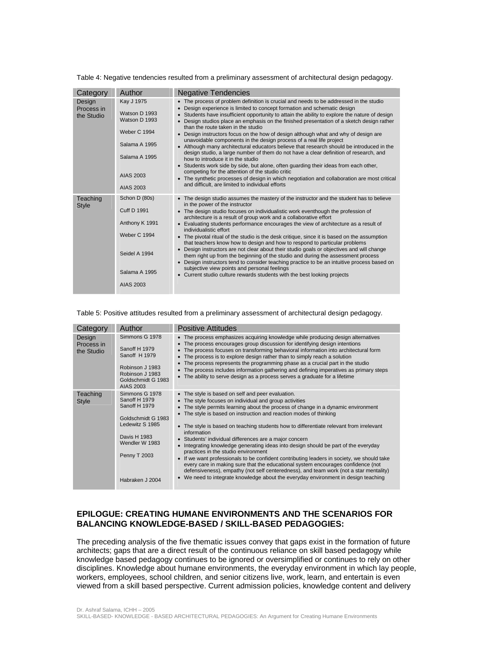Table 4: Negative tendencies resulted from a preliminary assessment of architectural design pedagogy.

| Category                           | Author                                                                                                                          | <b>Negative Tendencies</b>                                                                                                                                                                                                                                                                                                                                                                                                                                                                                                                                                                                                                                                                                                                                                                                                                                                                                                                                                                                                                                                                      |
|------------------------------------|---------------------------------------------------------------------------------------------------------------------------------|-------------------------------------------------------------------------------------------------------------------------------------------------------------------------------------------------------------------------------------------------------------------------------------------------------------------------------------------------------------------------------------------------------------------------------------------------------------------------------------------------------------------------------------------------------------------------------------------------------------------------------------------------------------------------------------------------------------------------------------------------------------------------------------------------------------------------------------------------------------------------------------------------------------------------------------------------------------------------------------------------------------------------------------------------------------------------------------------------|
| Design<br>Process in<br>the Studio | Kay J 1975<br>Watson D 1993<br>Watson D 1993<br><b>Weber C 1994</b><br>Salama A 1995<br>Salama A 1995<br>AIAS 2003<br>AIAS 2003 | • The process of problem definition is crucial and needs to be addressed in the studio<br>Design experience is limited to concept formation and schematic design<br>• Students have insufficient opportunity to attain the ability to explore the nature of design<br>Design studios place an emphasis on the finished presentation of a sketch design rather<br>٠<br>than the route taken in the studio<br>Design instructors focus on the how of design although what and why of design are<br>unavoidable components in the design process of a real life project<br>• Although many architectural educators believe that research should be introduced in the<br>design studio, a large number of them do not have a clear definition of research, and<br>how to introduce it in the studio<br>• Students work side by side, but alone, often quarding their ideas from each other,<br>competing for the attention of the studio critic<br>• The synthetic processes of design in which negotiation and collaboration are most critical<br>and difficult, are limited to individual efforts |
| Teaching<br><b>Style</b>           | Schon D (80s)<br><b>Cuff D 1991</b><br>Anthony K 1991<br><b>Weber C 1994</b><br>Seidel A 1994<br>Salama A 1995<br>AIAS 2003     | • The design studio assumes the mastery of the instructor and the student has to believe<br>in the power of the instructor<br>• The design studio focuses on individualistic work eventhough the profession of<br>architecture is a result of group work and a collaborative effort<br>• Evaluating students performance encourages the view of architecture as a result of<br>individualistic effort<br>• The pivotal ritual of the studio is the desk critique, since it is based on the assumption<br>that teachers know how to design and how to respond to particular problems<br>Design instructors are not clear about their studio goals or objectives and will change<br>$\bullet$<br>them right up from the beginning of the studio and during the assessment process<br>• Design instructors tend to consider teaching practice to be an intuitive process based on<br>subjective view points and personal feelings<br>• Current studio culture rewards students with the best looking projects                                                                                      |

#### Table 5: Positive attitudes resulted from a preliminary assessment of architectural design pedagogy.

| Category                           | Author                                                                                                                                                                | <b>Positive Attitudes</b>                                                                                                                                                                                                                                                                                                                                                                                                                                                                                                                                                                                                                                                                                                                                                                                                                                                                                                                            |
|------------------------------------|-----------------------------------------------------------------------------------------------------------------------------------------------------------------------|------------------------------------------------------------------------------------------------------------------------------------------------------------------------------------------------------------------------------------------------------------------------------------------------------------------------------------------------------------------------------------------------------------------------------------------------------------------------------------------------------------------------------------------------------------------------------------------------------------------------------------------------------------------------------------------------------------------------------------------------------------------------------------------------------------------------------------------------------------------------------------------------------------------------------------------------------|
| Design<br>Process in<br>the Studio | Simmons G 1978<br>Sanoff H 1979<br>Sanoff H 1979<br>Robinson J 1983<br>Robinson J 1983<br>Goldschmidt G 1983<br>AIAS 2003                                             | • The process emphasizes acquiring knowledge while producing design alternatives<br>• The process encourages group discussion for identifying design intentions<br>• The process focuses on transforming behavioral information into architectural form<br>The process is to explore design rather than to simply reach a solution<br>$\bullet$<br>The process represents the programming phase as a crucial part in the studio<br>$\bullet$<br>• The process includes information gathering and defining imperatives as primary steps<br>The ability to serve design as a process serves a graduate for a lifetime<br>$\bullet$                                                                                                                                                                                                                                                                                                                     |
| Teaching<br><b>Style</b>           | Simmons G 1978<br>Sanoff H 1979<br>Sanoff H 1979<br>Goldschmidt G 1983<br>Ledewitz S 1985<br>Davis H 1983<br>Wendler W 1983<br><b>Penny T 2003</b><br>Habraken J 2004 | • The style is based on self and peer evaluation.<br>• The style focuses on individual and group activities<br>• The style permits learning about the process of change in a dynamic environment<br>• The style is based on instruction and reaction modes of thinking<br>• The style is based on teaching students how to differentiate relevant from irrelevant<br>information<br>• Students' individual differences are a major concern<br>Integrating knowledge generating ideas into design should be part of the everyday<br>$\bullet$<br>practices in the studio environment<br>• If we want professionals to be confident contributing leaders in society, we should take<br>every care in making sure that the educational system encourages confidence (not<br>defensiveness), empathy (not self centeredness), and team work (not a star mentality)<br>• We need to integrate knowledge about the everyday environment in design teaching |

# **EPILOGUE: CREATING HUMANE ENVIRONMENTS AND THE SCENARIOS FOR BALANCING KNOWLEDGE-BASED / SKILL-BASED PEDAGOGIES:**

The preceding analysis of the five thematic issues convey that gaps exist in the formation of future architects; gaps that are a direct result of the continuous reliance on skill based pedagogy while knowledge based pedagogy continues to be ignored or oversimplified or continues to rely on other disciplines. Knowledge about humane environments, the everyday environment in which lay people, workers, employees, school children, and senior citizens live, work, learn, and entertain is even viewed from a skill based perspective. Current admission policies, knowledge content and delivery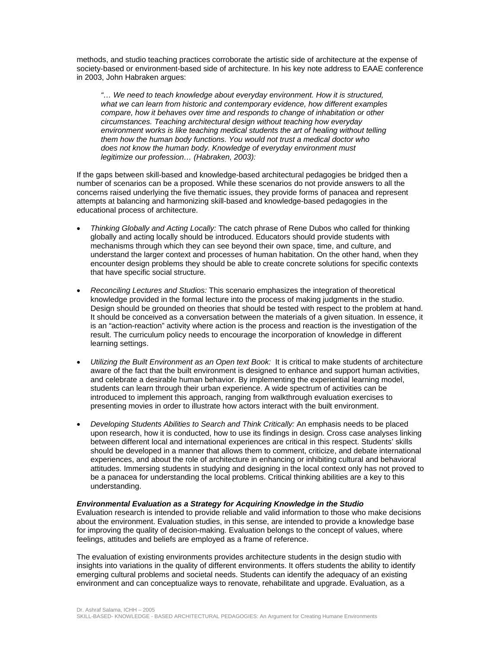methods, and studio teaching practices corroborate the artistic side of architecture at the expense of society-based or environment-based side of architecture. In his key note address to EAAE conference in 2003, John Habraken argues:

*"… We need to teach knowledge about everyday environment. How it is structured, what we can learn from historic and contemporary evidence, how different examples compare, how it behaves over time and responds to change of inhabitation or other circumstances. Teaching architectural design without teaching how everyday environment works is like teaching medical students the art of healing without telling them how the human body functions. You would not trust a medical doctor who does not know the human body. Knowledge of everyday environment must legitimize our profession… (Habraken, 2003):* 

If the gaps between skill-based and knowledge-based architectural pedagogies be bridged then a number of scenarios can be a proposed. While these scenarios do not provide answers to all the concerns raised underlying the five thematic issues, they provide forms of panacea and represent attempts at balancing and harmonizing skill-based and knowledge-based pedagogies in the educational process of architecture.

- *Thinking Globally and Acting Locally:* The catch phrase of Rene Dubos who called for thinking globally and acting locally should be introduced. Educators should provide students with mechanisms through which they can see beyond their own space, time, and culture, and understand the larger context and processes of human habitation. On the other hand, when they encounter design problems they should be able to create concrete solutions for specific contexts that have specific social structure.
- *Reconciling Lectures and Studios:* This scenario emphasizes the integration of theoretical knowledge provided in the formal lecture into the process of making judgments in the studio. Design should be grounded on theories that should be tested with respect to the problem at hand. It should be conceived as a conversation between the materials of a given situation. In essence, it is an "action-reaction" activity where action is the process and reaction is the investigation of the result. The curriculum policy needs to encourage the incorporation of knowledge in different learning settings.
- *Utilizing the Built Environment as an Open text Book:* It is critical to make students of architecture aware of the fact that the built environment is designed to enhance and support human activities, and celebrate a desirable human behavior. By implementing the experiential learning model, students can learn through their urban experience. A wide spectrum of activities can be introduced to implement this approach, ranging from walkthrough evaluation exercises to presenting movies in order to illustrate how actors interact with the built environment.
- *Developing Students Abilities to Search and Think Critically:* An emphasis needs to be placed upon research, how it is conducted, how to use its findings in design. Cross case analyses linking between different local and international experiences are critical in this respect. Students' skills should be developed in a manner that allows them to comment, criticize, and debate international experiences, and about the role of architecture in enhancing or inhibiting cultural and behavioral attitudes. Immersing students in studying and designing in the local context only has not proved to be a panacea for understanding the local problems. Critical thinking abilities are a key to this understanding.

### *Environmental Evaluation as a Strategy for Acquiring Knowledge in the Studio*

Evaluation research is intended to provide reliable and valid information to those who make decisions about the environment. Evaluation studies, in this sense, are intended to provide a knowledge base for improving the quality of decision-making. Evaluation belongs to the concept of values, where feelings, attitudes and beliefs are employed as a frame of reference.

The evaluation of existing environments provides architecture students in the design studio with insights into variations in the quality of different environments. It offers students the ability to identify emerging cultural problems and societal needs. Students can identify the adequacy of an existing environment and can conceptualize ways to renovate, rehabilitate and upgrade. Evaluation, as a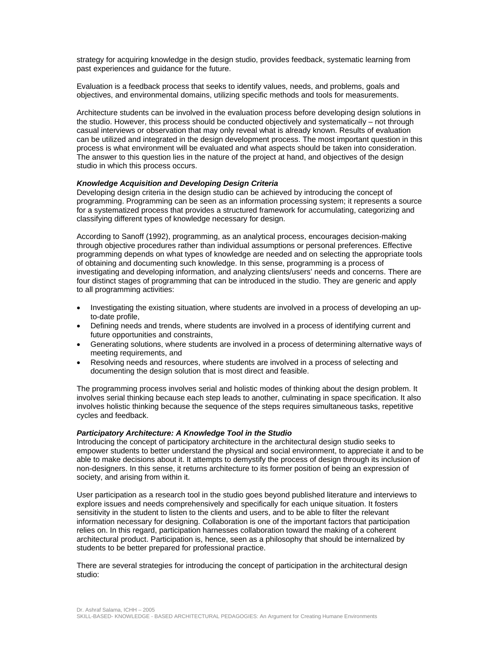strategy for acquiring knowledge in the design studio, provides feedback, systematic learning from past experiences and guidance for the future.

Evaluation is a feedback process that seeks to identify values, needs, and problems, goals and objectives, and environmental domains, utilizing specific methods and tools for measurements.

Architecture students can be involved in the evaluation process before developing design solutions in the studio. However, this process should be conducted objectively and systematically – not through casual interviews or observation that may only reveal what is already known. Results of evaluation can be utilized and integrated in the design development process. The most important question in this process is what environment will be evaluated and what aspects should be taken into consideration. The answer to this question lies in the nature of the project at hand, and objectives of the design studio in which this process occurs.

### *Knowledge Acquisition and Developing Design Criteria*

Developing design criteria in the design studio can be achieved by introducing the concept of programming. Programming can be seen as an information processing system; it represents a source for a systematized process that provides a structured framework for accumulating, categorizing and classifying different types of knowledge necessary for design.

According to Sanoff (1992), programming, as an analytical process, encourages decision-making through objective procedures rather than individual assumptions or personal preferences. Effective programming depends on what types of knowledge are needed and on selecting the appropriate tools of obtaining and documenting such knowledge. In this sense, programming is a process of investigating and developing information, and analyzing clients/users' needs and concerns. There are four distinct stages of programming that can be introduced in the studio. They are generic and apply to all programming activities:

- Investigating the existing situation, where students are involved in a process of developing an upto-date profile,
- Defining needs and trends, where students are involved in a process of identifying current and future opportunities and constraints,
- Generating solutions, where students are involved in a process of determining alternative ways of meeting requirements, and
- Resolving needs and resources, where students are involved in a process of selecting and documenting the design solution that is most direct and feasible.

The programming process involves serial and holistic modes of thinking about the design problem. It involves serial thinking because each step leads to another, culminating in space specification. It also involves holistic thinking because the sequence of the steps requires simultaneous tasks, repetitive cycles and feedback.

### *Participatory Architecture: A Knowledge Tool in the Studio*

Introducing the concept of participatory architecture in the architectural design studio seeks to empower students to better understand the physical and social environment, to appreciate it and to be able to make decisions about it. It attempts to demystify the process of design through its inclusion of non-designers. In this sense, it returns architecture to its former position of being an expression of society, and arising from within it.

User participation as a research tool in the studio goes beyond published literature and interviews to explore issues and needs comprehensively and specifically for each unique situation. It fosters sensitivity in the student to listen to the clients and users, and to be able to filter the relevant information necessary for designing. Collaboration is one of the important factors that participation relies on. In this regard, participation harnesses collaboration toward the making of a coherent architectural product. Participation is, hence, seen as a philosophy that should be internalized by students to be better prepared for professional practice.

There are several strategies for introducing the concept of participation in the architectural design studio: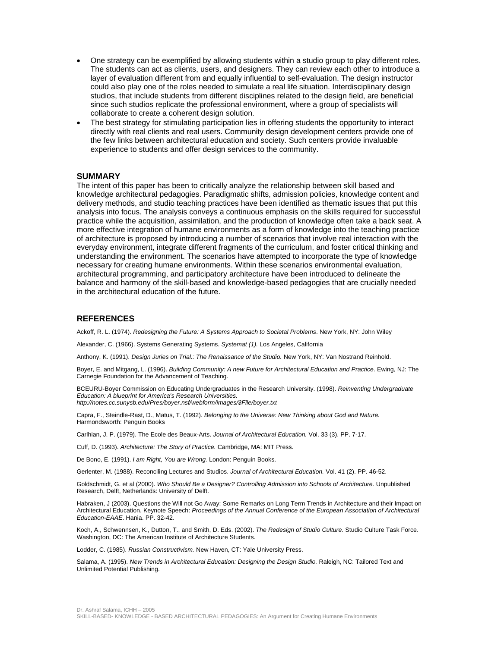- One strategy can be exemplified by allowing students within a studio group to play different roles. The students can act as clients, users, and designers. They can review each other to introduce a layer of evaluation different from and equally influential to self-evaluation. The design instructor could also play one of the roles needed to simulate a real life situation. Interdisciplinary design studios, that include students from different disciplines related to the design field, are beneficial since such studios replicate the professional environment, where a group of specialists will collaborate to create a coherent design solution.
- The best strategy for stimulating participation lies in offering students the opportunity to interact directly with real clients and real users. Community design development centers provide one of the few links between architectural education and society. Such centers provide invaluable experience to students and offer design services to the community.

## **SUMMARY**

The intent of this paper has been to critically analyze the relationship between skill based and knowledge architectural pedagogies. Paradigmatic shifts, admission policies, knowledge content and delivery methods, and studio teaching practices have been identified as thematic issues that put this analysis into focus. The analysis conveys a continuous emphasis on the skills required for successful practice while the acquisition, assimilation, and the production of knowledge often take a back seat. A more effective integration of humane environments as a form of knowledge into the teaching practice of architecture is proposed by introducing a number of scenarios that involve real interaction with the everyday environment, integrate different fragments of the curriculum, and foster critical thinking and understanding the environment. The scenarios have attempted to incorporate the type of knowledge necessary for creating humane environments. Within these scenarios environmental evaluation, architectural programming, and participatory architecture have been introduced to delineate the balance and harmony of the skill-based and knowledge-based pedagogies that are crucially needed in the architectural education of the future.

### **REFERENCES**

Ackoff, R. L. (1974). *Redesigning the Future: A Systems Approach to Societal Problems*. New York, NY: John Wiley

Alexander, C. (1966). Systems Generating Systems. *Systemat (1).* Los Angeles, California

Anthony, K. (1991). *Design Juries on Trial.: The Renaissance of the Studio.* New York, NY: Van Nostrand Reinhold.

Boyer, E. and Mitgang, L. (1996). *Building Community: A new Future for Architectural Education and Practice*. Ewing, NJ: The Carnegie Foundation for the Advancement of Teaching.

BCEURU-Boyer Commission on Educating Undergraduates in the Research University. (1998). *Reinventing Undergraduate Education: A blueprint for America's Research Universities.* 

*http://notes.cc.sunysb.edu/Pres/boyer.nsf/webform/images/\$File/boyer.txt* 

Capra, F., Steindle-Rast, D., Matus, T. (1992). *Belonging to the Universe: New Thinking about God and Nature.*  Harmondsworth: Penguin Books

Carlhian, J. P. (1979). The Ecole des Beaux-Arts. *Journal of Architectural Education.* Vol. 33 (3). PP. 7-17.

Cuff, D. (1993). *Architecture: The Story of Practice.* Cambridge, MA: MIT Press.

De Bono, E. (1991). *I am Right, You are Wrong.* London: Penguin Books.

Gerlenter, M. (1988). Reconciling Lectures and Studios. *Journal of Architectural Education.* Vol. 41 (2). PP. 46-52.

Goldschmidt, G. et al (2000). *Who Should Be a Designer? Controlling Admission into Schools of Architecture.* Unpublished Research, Delft, Netherlands: University of Delft.

Habraken, J (2003). Questions the Will not Go Away: Some Remarks on Long Term Trends in Architecture and their Impact on Architectural Education. Keynote Speech: *Proceedings of the Annual Conference of the European Association of Architectural Education-EAAE*. Hania. PP. 32-42.

Koch, A., Schwennsen, K., Dutton, T., and Smith, D. Eds. (2002). *The Redesign of Studio Culture.* Studio Culture Task Force. Washington, DC: The American Institute of Architecture Students.

Lodder, C. (1985). *Russian Constructivism.* New Haven, CT: Yale University Press.

Salama, A. (1995). *New Trends in Architectural Education: Designing the Design Studio.* Raleigh, NC: Tailored Text and Unlimited Potential Publishing.